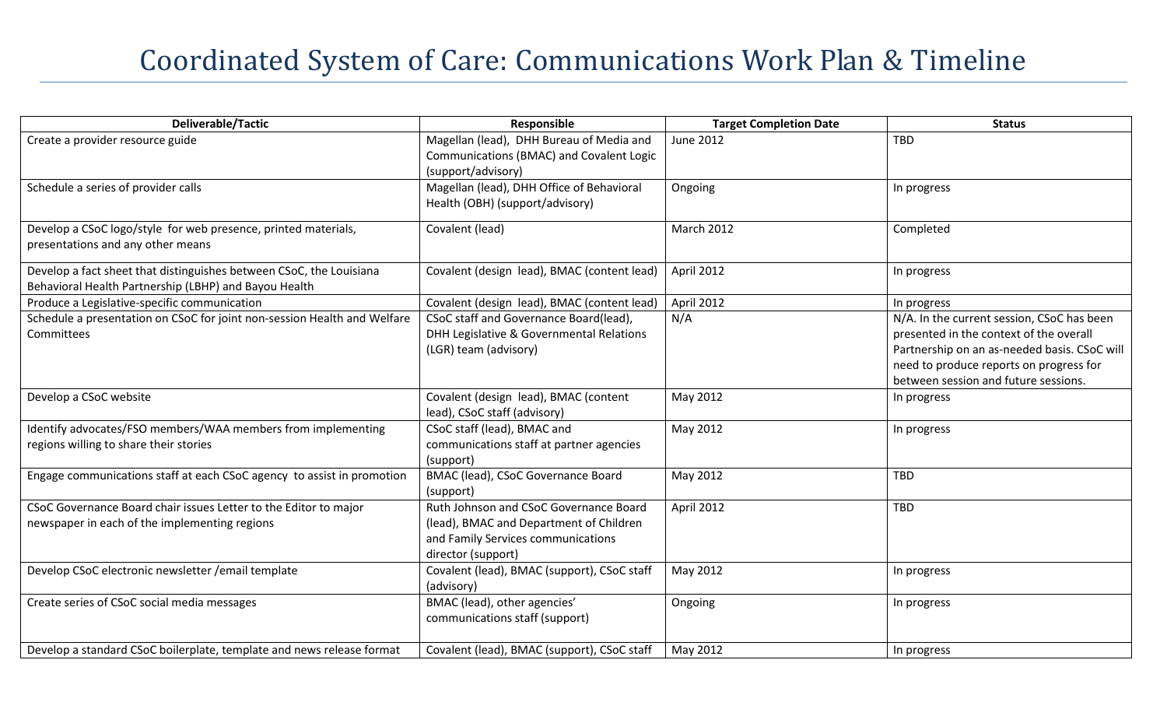## Coordinated System of Care: Communications Work Plan & Timeline

| Deliverable/Tactic                                                       | Responsible                                 | <b>Target Completion Date</b> | <b>Status</b>                                |
|--------------------------------------------------------------------------|---------------------------------------------|-------------------------------|----------------------------------------------|
| Create a provider resource guide                                         | Magellan (lead), DHH Bureau of Media and    | <b>June 2012</b>              | <b>TBD</b>                                   |
|                                                                          | Communications (BMAC) and Covalent Logic    |                               |                                              |
|                                                                          | (support/advisory)                          |                               |                                              |
| Schedule a series of provider calls                                      | Magellan (lead), DHH Office of Behavioral   | Ongoing                       | In progress                                  |
|                                                                          | Health (OBH) (support/advisory)             |                               |                                              |
| Develop a CSoC logo/style for web presence, printed materials,           | Covalent (lead)                             | March 2012                    | Completed                                    |
| presentations and any other means                                        |                                             |                               |                                              |
| Develop a fact sheet that distinguishes between CSoC, the Louisiana      | Covalent (design lead), BMAC (content lead) | April 2012                    | In progress                                  |
| Behavioral Health Partnership (LBHP) and Bayou Health                    |                                             |                               |                                              |
| Produce a Legislative-specific communication                             | Covalent (design lead), BMAC (content lead) | April 2012                    | In progress                                  |
| Schedule a presentation on CSoC for joint non-session Health and Welfare | CSoC staff and Governance Board(lead),      | N/A                           | N/A. In the current session, CSoC has been   |
| Committees                                                               | DHH Legislative & Governmental Relations    |                               | presented in the context of the overall      |
|                                                                          | (LGR) team (advisory)                       |                               | Partnership on an as-needed basis. CSoC will |
|                                                                          |                                             |                               | need to produce reports on progress for      |
|                                                                          |                                             |                               | between session and future sessions.         |
| Develop a CSoC website                                                   | Covalent (design lead), BMAC (content       | May 2012                      | In progress                                  |
|                                                                          | lead), CSoC staff (advisory)                |                               |                                              |
| Identify advocates/FSO members/WAA members from implementing             | CSoC staff (lead), BMAC and                 | May 2012                      | In progress                                  |
| regions willing to share their stories                                   | communications staff at partner agencies    |                               |                                              |
|                                                                          | (support)                                   |                               |                                              |
| Engage communications staff at each CSoC agency to assist in promotion   | BMAC (lead), CSoC Governance Board          | May 2012                      | TBD                                          |
|                                                                          | (support)                                   |                               |                                              |
| CSoC Governance Board chair issues Letter to the Editor to major         | Ruth Johnson and CSoC Governance Board      | April 2012                    | <b>TBD</b>                                   |
| newspaper in each of the implementing regions                            | (lead), BMAC and Department of Children     |                               |                                              |
|                                                                          | and Family Services communications          |                               |                                              |
|                                                                          | director (support)                          |                               |                                              |
| Develop CSoC electronic newsletter / email template                      | Covalent (lead), BMAC (support), CSoC staff | May 2012                      | In progress                                  |
|                                                                          | (advisory)                                  |                               |                                              |
| Create series of CSoC social media messages                              | BMAC (lead), other agencies'                | Ongoing                       | In progress                                  |
|                                                                          | communications staff (support)              |                               |                                              |
| Develop a standard CSoC boilerplate, template and news release format    | Covalent (lead), BMAC (support), CSoC staff | May 2012                      | In progress                                  |
|                                                                          |                                             |                               |                                              |